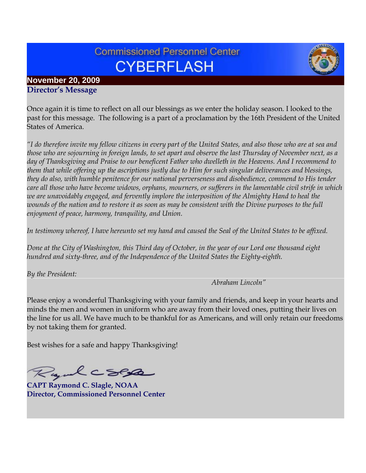# **Commissioned Personnel Center CYBERFLASH**



#### **November 20, 2009 Director's Message**

Once again it is time to reflect on all our blessings as we enter the holiday season. I looked to the past for this message. The following is a part of a proclamation by the 16th President of the United States of America.

*"I do therefore invite my fellow citizens in every part of the United States, and also those who are at sea and those who are sojourning in foreign lands, to set apart and observe the last Thursday of November next, as a day of Thanksgiving and Praise to our beneficent Father who dwelleth in the Heavens. And I recommend to them that while offering up the ascriptions justly due to Him for such singular deliverances and blessings, they do also, with humble penitence for our national perverseness and disobedience, commend to His tender care all those who have become widows, orphans, mourners, or sufferers in the lamentable civil strife in which we are unavoidably engaged, and fervently implore the interposition of the Almighty Hand to heal the wounds of the nation and to restore it as soon as may be consistent with the Divine purposes to the full enjoyment of peace, harmony, tranquility, and Union.* 

*In testimony whereof, I have hereunto set my hand and caused the Seal of the United States to be affixed.* 

*Done at the City of Washington, this Third day of October, in the year of our Lord one thousand eight hundred and sixty-three, and of the Independence of the United States the Eighty-eighth.* 

*By the President:* 

 *Abraham Lincoln"*

Please enjoy a wonderful Thanksgiving with your family and friends, and keep in your hearts and minds the men and women in uniform who are away from their loved ones, putting their lives on the line for us all. We have much to be thankful for as Americans, and will only retain our freedoms by not taking them for granted.

Best wishes for a safe and happy Thanksgiving!

Ryalcses

**CAPT Raymond C. Slagle, NOAA Director, Commissioned Personnel Center**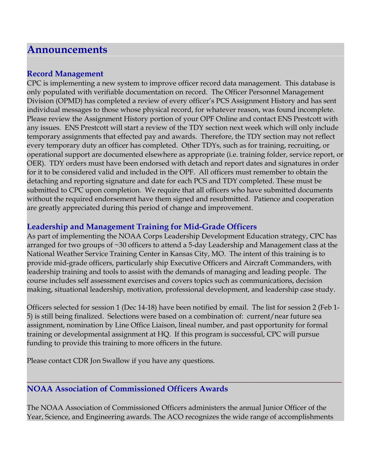# **Announcements**

## **Record Management**

CPC is implementing a new system to improve officer record data management. This database is only populated with verifiable documentation on record. The Officer Personnel Management Division (OPMD) has completed a review of every officer's PCS Assignment History and has sent individual messages to those whose physical record, for whatever reason, was found incomplete. Please review the Assignment History portion of your OPF Online and contact ENS Prestcott with any issues. ENS Prestcott will start a review of the TDY section next week which will only include temporary assignments that effected pay and awards. Therefore, the TDY section may not reflect every temporary duty an officer has completed. Other TDYs, such as for training, recruiting, or operational support are documented elsewhere as appropriate (i.e. training folder, service report, or OER). TDY orders must have been endorsed with detach and report dates and signatures in order for it to be considered valid and included in the OPF. All officers must remember to obtain the detaching and reporting signature and date for each PCS and TDY completed. These must be submitted to CPC upon completion. We require that all officers who have submitted documents without the required endorsement have them signed and resubmitted. Patience and cooperation are greatly appreciated during this period of change and improvement.

# **Leadership and Management Training for Mid-Grade Officers**

As part of implementing the NOAA Corps Leadership Development Education strategy, CPC has arranged for two groups of ~30 officers to attend a 5-day Leadership and Management class at the National Weather Service Training Center in Kansas City, MO. The intent of this training is to provide mid-grade officers, particularly ship Executive Officers and Aircraft Commanders, with leadership training and tools to assist with the demands of managing and leading people. The course includes self assessment exercises and covers topics such as communications, decision making, situational leadership, motivation, professional development, and leadership case study.

Officers selected for session 1 (Dec 14-18) have been notified by email. The list for session 2 (Feb 1- 5) is still being finalized. Selections were based on a combination of: current/near future sea assignment, nomination by Line Office Liaison, lineal number, and past opportunity for formal training or developmental assignment at HQ. If this program is successful, CPC will pursue funding to provide this training to more officers in the future.

Please contact CDR Jon Swallow if you have any questions.

# **NOAA Association of Commissioned Officers Awards**

The NOAA Association of Commissioned Officers administers the annual Junior Officer of the Year, Science, and Engineering awards. The ACO recognizes the wide range of accomplishments

**\_\_\_\_\_\_\_\_\_\_\_\_\_\_\_\_\_\_\_\_\_\_\_\_\_\_\_\_\_\_\_\_\_\_\_\_\_\_\_\_\_\_\_\_\_\_\_\_\_\_\_\_\_\_\_\_\_\_\_\_\_\_\_\_\_\_\_\_\_\_\_\_\_\_\_\_\_\_**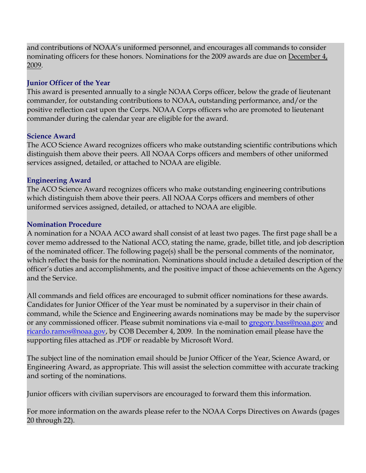and contributions of NOAA's uniformed personnel, and encourages all commands to consider nominating officers for these honors. Nominations for the 2009 awards are due on December 4, 2009.

#### **Junior Officer of the Year**

This award is presented annually to a single NOAA Corps officer, below the grade of lieutenant commander, for outstanding contributions to NOAA, outstanding performance, and/or the positive reflection cast upon the Corps. NOAA Corps officers who are promoted to lieutenant commander during the calendar year are eligible for the award.

#### **Science Award**

The ACO Science Award recognizes officers who make outstanding scientific contributions which distinguish them above their peers. All NOAA Corps officers and members of other uniformed services assigned, detailed, or attached to NOAA are eligible.

#### **Engineering Award**

The ACO Science Award recognizes officers who make outstanding engineering contributions which distinguish them above their peers. All NOAA Corps officers and members of other uniformed services assigned, detailed, or attached to NOAA are eligible.

#### **Nomination Procedure**

A nomination for a NOAA ACO award shall consist of at least two pages. The first page shall be a cover memo addressed to the National ACO, stating the name, grade, billet title, and job description of the nominated officer. The following page(s) shall be the personal comments of the nominator, which reflect the basis for the nomination. Nominations should include a detailed description of the officer's duties and accomplishments, and the positive impact of those achievements on the Agency and the Service.

All commands and field offices are encouraged to submit officer nominations for these awards. Candidates for Junior Officer of the Year must be nominated by a supervisor in their chain of command, while the Science and Engineering awards nominations may be made by the supervisor or any commissioned officer. Please submit nominations via e-mail to [gregory.bass@noaa.gov](mailto:gregory.bass@noaa.gov) and [ricardo.ramos@noaa.gov,](mailto:ricardo.ramos@noaa.gov) by COB December 4, 2009. In the nomination email please have the supporting files attached as .PDF or readable by Microsoft Word.

The subject line of the nomination email should be Junior Officer of the Year, Science Award, or Engineering Award, as appropriate. This will assist the selection committee with accurate tracking and sorting of the nominations.

Junior officers with civilian supervisors are encouraged to forward them this information.

For more information on the awards please refer to the NOAA Corps Directives on Awards (pages 20 through 22).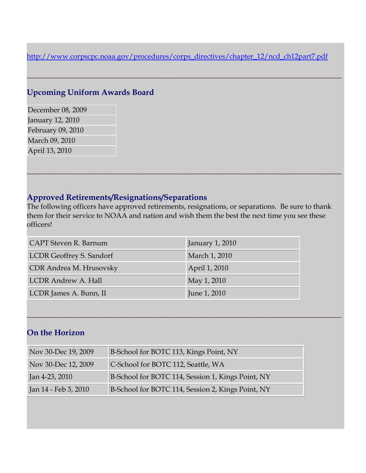[http://www.corpscpc.noaa.gov/procedures/corps\\_directives/chapter\\_12/ncd\\_ch12part7.pdf](http://www.corpscpc.noaa.gov/procedures/corps_directives/chapter_12/ncd_ch12part7.pdf)

**\_\_\_\_\_\_\_\_\_\_\_\_\_\_\_\_\_\_\_\_\_\_\_\_\_\_\_\_\_\_\_\_\_\_\_\_\_\_\_\_\_\_\_\_\_\_\_\_\_\_\_\_\_\_\_\_\_\_\_\_\_\_\_\_\_\_\_\_\_\_\_\_\_\_\_\_\_\_**

# **Upcoming Uniform Awards Board**

December 08, 2009 January 12, 2010 February 09, 2010 March 09, 2010 April 13, 2010

## **Approved Retirements/Resignations/Separations**

The following officers have approved retirements, resignations, or separations. Be sure to thank them for their service to NOAA and nation and wish them the best the next time you see these officers!

**\_\_\_\_\_\_\_\_\_\_\_\_\_\_\_\_\_\_\_\_\_\_\_\_\_\_\_\_\_\_\_\_\_\_\_\_\_\_\_\_\_\_\_\_\_\_\_\_\_\_\_\_\_\_\_\_\_\_\_\_\_\_\_\_\_\_\_\_\_\_\_\_\_\_\_\_\_\_**

**\_\_\_\_\_\_\_\_\_\_\_\_\_\_\_\_\_\_\_\_\_\_\_\_\_\_\_\_\_\_\_\_\_\_\_\_\_\_\_\_\_\_\_\_\_\_\_\_\_\_\_\_\_\_\_\_\_\_\_\_\_\_\_\_\_\_\_\_\_\_\_\_\_\_\_\_\_\_**

| CAPT Steven R. Barnum           | January 1, 2010 |
|---------------------------------|-----------------|
| <b>LCDR</b> Geoffrey S. Sandorf | March 1, 2010   |
| CDR Andrea M. Hrusovsky         | April 1, 2010   |
| <b>LCDR Andrew A. Hall</b>      | May 1, 2010     |
| LCDR James A. Bunn, II          | June 1, 2010    |

# **On the Horizon**

| Nov 30-Dec 19, 2009    | B-School for BOTC 113, Kings Point, NY            |
|------------------------|---------------------------------------------------|
| Nov 30-Dec 12, 2009    | C-School for BOTC 112, Seattle, WA                |
| $\vert$ Jan 4-23, 2010 | B-School for BOTC 114, Session 1, Kings Point, NY |
| Jan 14 - Feb 3, 2010   | B-School for BOTC 114, Session 2, Kings Point, NY |